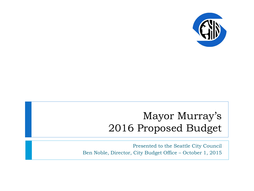

## Mayor Murray's 2016 Proposed Budget

Presented to the Seattle City Council Ben Noble, Director, City Budget Office – October 1, 2015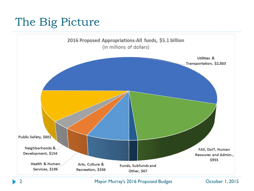## The Big Picture



2 Mayor Murray's 2016 Proposed Budget October 1, 2015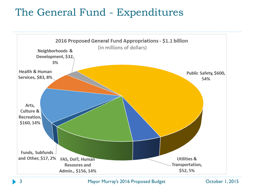### The General Fund - Expenditures



3 Mayor Murray's 2016 Proposed Budget October 1, 2015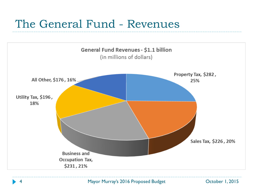## The General Fund - Revenues

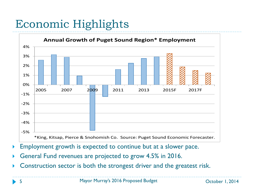# Economic Highlights



- Employment growth is expected to continue but at a slower pace.
- General Fund revenues are projected to grow 4.5% in 2016.
- Construction sector is both the strongest driver and the greatest risk.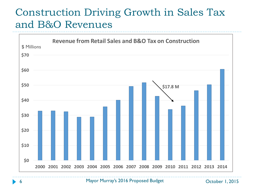### Construction Driving Growth in Sales Tax and B&O Revenues

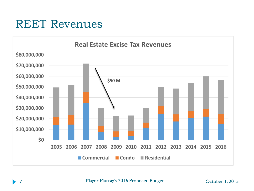### REET Revenues

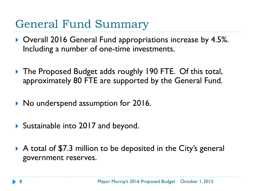## General Fund Summary

- ▶ Overall 2016 General Fund appropriations increase by 4.5%. Including a number of one-time investments.
- ▶ The Proposed Budget adds roughly 190 FTE. Of this total, approximately 80 FTE are supported by the General Fund.
- ▶ No underspend assumption for 2016.
- ▶ Sustainable into 2017 and beyond.
- A total of \$7.3 million to be deposited in the City's general government reserves.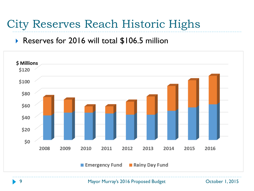# City Reserves Reach Historic Highs

### ▶ Reserves for 2016 will total \$106.5 million



Mayor Murray's 2016 Proposed Budget Charles Corporation Corporation 1, 2015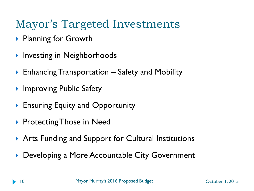# Mayor's Targeted Investments

- ▶ Planning for Growth
- Investing in Neighborhoods
- Enhancing Transportation Safety and Mobility
- **Improving Public Safety**
- **Ensuring Equity and Opportunity**
- **Protecting Those in Need**
- ▶ Arts Funding and Support for Cultural Institutions
- Developing a More Accountable City Government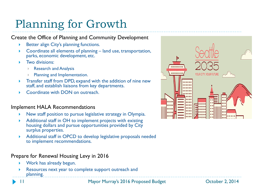# Planning for Growth

#### Create the Office of Planning and Community Development

- Better align City's planning functions.
- $\triangleright$  Coordinate all elements of planning  $-$  land use, transportation, parks, economic development, etc.
- Two divisions:
	- Research and Analysis
	- Planning and Implementation.
- **Transfer staff from DPD, expand with the addition of nine new** staff, and establish liaisons from key departments.
- Coordinate with DON on outreach.

#### Implement HALA Recommendations

- New staff position to pursue legislative strategy in Olympia.
- Additional staff in OH to implement projects with existing housing dollars and pursue opportunities provided by City surplus properties.
- Additional staff in OPCD to develop legislative proposals needed to implement recommendations.

#### Prepare for Renewal Housing Levy in 2016

- Work has already begun.
- Resources next year to complete support outreach and planning.

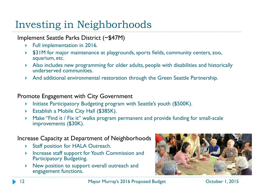## Investing in Neighborhoods

#### Implement Seattle Parks District (~\$47M)

- ▶ Full implementation in 2016.
- **\$31M** for major maintenance at playgrounds, sports fields, community centers, zoo, aquarium, etc.
- Also includes new programming for older adults, people with disabilities and historically underserved communities.
- And additional environmental restoration through the Green Seattle Partnership.

#### Promote Engagement with City Government

- **Initiate Participatory Budgeting program with Seattle's youth (\$500K).**
- **Establish a Mobile City Hall (\$385K).**
- ▶ Make "Find it / Fix it" walks program permanent and provide funding for small-scale improvements (\$30K).

#### Increase Capacity at Department of Neighborhoods

- ▶ Staff position for HALA Outreach.
- ▶ Increase staff support for Youth Commission and Participatory Budgeting.
- New position to support overall outreach and engagement functions.



12 Mayor Murray's 2016 Proposed Budget October 1, 2015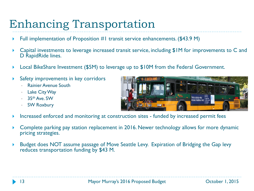## Enhancing Transportation

- Full implementation of Proposition #1 transit service enhancements. (\$43.9 M)
- Capital investments to leverage increased transit service, including \$1M for improvements to C and D RapidRide lines.
- Local BikeShare Investment (\$5M) to leverage up to \$10M from the Federal Government.
- Safety improvements in key corridors
	- Rainier Avenue South
	- Lake City Way
	- 35th Ave. SW
	- SW Roxbury



- Increased enforced and monitoring at construction sites funded by increased permit fees
- Complete parking pay station replacement in 2016. Newer technology allows for more dynamic pricing strategies.
- Budget does NOT assume passage of Move Seattle Levy. Expiration of Bridging the Gap levy reduces transportation funding by \$43 M.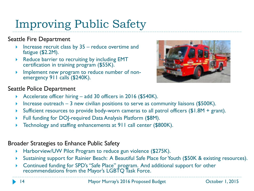# Improving Public Safety

### Seattle Fire Department

- Increase recruit class by 35 reduce overtime and fatigue (\$2.2M).
- Reduce barrier to recruiting by including EMT certification in training program (\$55K).
- Implement new program to reduce number of non- emergency 911 calls (\$240K).



### Seattle Police Department

- Accelerate officer hiring add 30 officers in 2016 (\$540K).
- Increase outreach  $-3$  new civilian positions to serve as community liaisons (\$500K).
- Sufficient resources to provide body-worn cameras to all patrol officers (\$1.8M + grant).
- Full funding for DOJ-required Data Analysis Platform (\$8M).
- Technology and staffing enhancements at 911 call center (\$800K).

### Broader Strategies to Enhance Public Safety

- ▶ Harborview/UW Pilot Program to reduce gun violence (\$275K).
- Sustaining support for Rainier Beach: A Beautiful Safe Place for Youth (\$50K & existing resources).
- Continued funding for SPD's "Safe Place" program. And additional support for other recommendations from the Mayor's LGBTQ Task Force.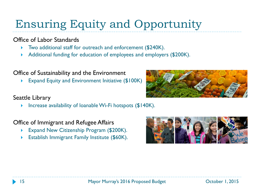# Ensuring Equity and Opportunity

### Office of Labor Standards

- ▶ Two additional staff for outreach and enforcement (\$240K).
- Additional funding for education of employees and employers (\$200K).

#### Office of Sustainability and the Environment

Expand Equity and Environment Initiative (\$100K)

#### Seattle Library

Increase availability of loanable Wi-Fi hotspots  $$140K$ ).

Office of Immigrant and Refugee Affairs

- Expand New Citizenship Program (\$200K).
- Establish Immigrant Family Institute (\$60K).



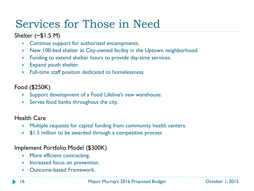# Services for Those in Need

### Shelter  $(\sim $1.5$  M)

- ▶ Continue support for authorized encampments.
- New 100-bed shelter at City-owned facility in the Uptown neighborhood.
- **Funding to extend shelter hours to provide day-time services.**
- Expand youth shelter.
- Full-time staff position dedicated to homelessness.

### Food (\$250K)

- Support development of a Food Lifeline's new warehouse.
- Serves food banks throughout the city.

#### Health Care

- Multiple requests for capital funding from community health centers.
- ▶ \$1.5 million to be awarded through a competitive process

### Implement Portfolio Model (\$300K)

- **More efficient contracting.**
- **Increased focus on prevention.**
- Outcome-based Framework.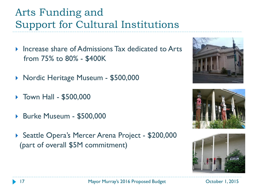## Arts Funding and Support for Cultural Institutions

- **Increase share of Admissions Tax dedicated to Arts** from 75% to 80% - \$400K
- ▶ Nordic Heritage Museum \$500,000
- ▶ Town Hall \$500,000
- ▶ Burke Museum \$500,000
- ▶ Seattle Opera's Mercer Arena Project \$200,000 (part of overall \$5M commitment)